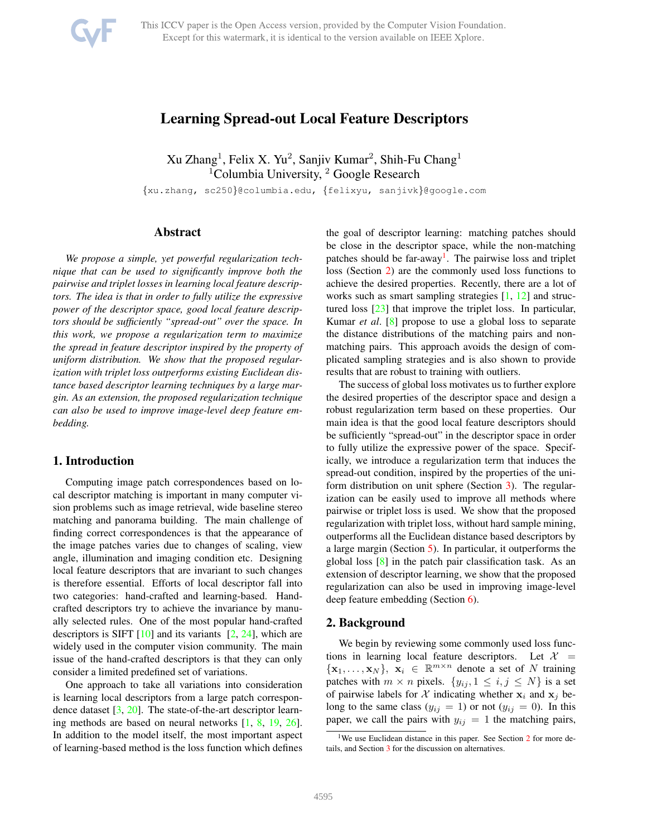# Learning Spread-out Local Feature Descriptors

 $Xu Zhang<sup>1</sup>$ , Felix X. Yu<sup>2</sup>, Sanjiv Kumar<sup>2</sup>, Shih-Fu Chang<sup>1</sup> <sup>1</sup>Columbia University,  $2$  Google Research

{xu.zhang, sc250}@columbia.edu, {felixyu, sanjivk}@google.com

# Abstract

*We propose a simple, yet powerful regularization technique that can be used to significantly improve both the pairwise and triplet losses in learning local feature descriptors. The idea is that in order to fully utilize the expressive power of the descriptor space, good local feature descriptors should be sufficiently "spread-out" over the space. In this work, we propose a regularization term to maximize the spread in feature descriptor inspired by the property of uniform distribution. We show that the proposed regularization with triplet loss outperforms existing Euclidean distance based descriptor learning techniques by a large margin. As an extension, the proposed regularization technique can also be used to improve image-level deep feature embedding.*

### 1. Introduction

Computing image patch correspondences based on local descriptor matching is important in many computer vision problems such as image retrieval, wide baseline stereo matching and panorama building. The main challenge of finding correct correspondences is that the appearance of the image patches varies due to changes of scaling, view angle, illumination and imaging condition etc. Designing local feature descriptors that are invariant to such changes is therefore essential. Efforts of local descriptor fall into two categories: hand-crafted and learning-based. Handcrafted descriptors try to achieve the invariance by manually selected rules. One of the most popular hand-crafted descriptors is SIFT  $[10]$  $[10]$  and its variants  $[2, 24]$  $[2, 24]$  $[2, 24]$  $[2, 24]$ , which are widely used in the computer vision community. The main issue of the hand-crafted descriptors is that they can only consider a limited predefined set of variations.

One approach to take all variations into consideration is learning local descriptors from a large patch correspondence dataset [[3,](#page-8-3) [20](#page-8-4)]. The state-of-the-art descriptor learning methods are based on neural networks [\[1](#page-8-5), [8](#page-8-6), [19](#page-8-7), [26\]](#page-8-8). In addition to the model itself, the most important aspect of learning-based method is the loss function which defines

the goal of descriptor learning: matching patches should be close in the descriptor space, while the non-matching patches should be far-away<sup>[1](#page-0-0)</sup>. The pairwise loss and triplet loss (Section [2](#page-0-1)) are the commonly used loss functions to achieve the desired properties. Recently, there are a lot of works such as smart sampling strategies [[1,](#page-8-5) [12](#page-8-9)] and structured loss [[23\]](#page-8-10) that improve the triplet loss. In particular, Kumar *et al*. [[8\]](#page-8-6) propose to use a global loss to separate the distance distributions of the matching pairs and nonmatching pairs. This approach avoids the design of complicated sampling strategies and is also shown to provide results that are robust to training with outliers.

The success of global loss motivates us to further explore the desired properties of the descriptor space and design a robust regularization term based on these properties. Our main idea is that the good local feature descriptors should be sufficiently "spread-out" in the descriptor space in order to fully utilize the expressive power of the space. Specifically, we introduce a regularization term that induces the spread-out condition, inspired by the properties of the uniform distribution on unit sphere (Section [3\)](#page-1-0). The regularization can be easily used to improve all methods where pairwise or triplet loss is used. We show that the proposed regularization with triplet loss, without hard sample mining, outperforms all the Euclidean distance based descriptors by a large margin (Section [5\)](#page-4-0). In particular, it outperforms the global loss [\[8](#page-8-6)] in the patch pair classification task. As an extension of descriptor learning, we show that the proposed regularization can also be used in improving image-level deep feature embedding (Section [6\)](#page-6-0).

#### <span id="page-0-1"></span>2. Background

We begin by reviewing some commonly used loss functions in learning local feature descriptors. Let  $\mathcal{X}$  =  $\{x_1, \ldots, x_N\},\; \tilde{x}_i \in \mathbb{R}^{m \times n}$  denote a set of N training patches with  $m \times n$  pixels.  $\{y_{ij}, 1 \le i, j \le N\}$  is a set of pairwise labels for X indicating whether  $x_i$  and  $x_j$  belong to the same class  $(y_{ij} = 1)$  or not  $(y_{ij} = 0)$ . In this paper, we call the pairs with  $y_{ij} = 1$  the matching pairs,

<span id="page-0-0"></span><sup>&</sup>lt;sup>1</sup>We use Euclidean distance in this paper. See Section [2](#page-0-1) for more details, and Section [3](#page-1-0) for the discussion on alternatives.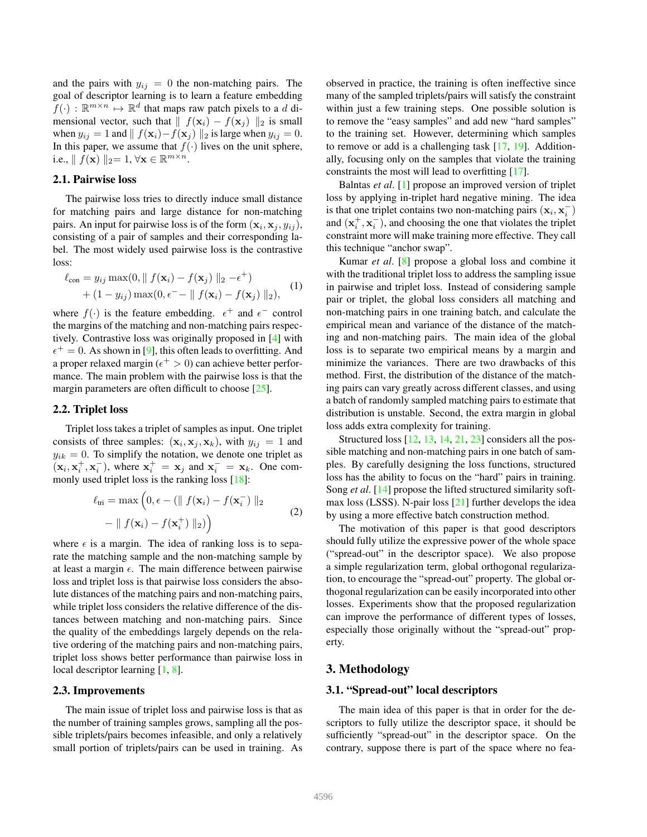and the pairs with  $y_{ij} = 0$  the non-matching pairs. The goal of descriptor learning is to learn a feature embedding  $f(\cdot) : \mathbb{R}^{m \times n} \mapsto \mathbb{R}^d$  that maps raw patch pixels to a d dimensional vector, such that  $|| f(\mathbf{x}_i) - f(\mathbf{x}_j) ||_2$  is small when  $y_{ij} = 1$  and  $|| f(\mathbf{x}_i) - f(\mathbf{x}_j) ||_2$  is large when  $y_{ij} = 0$ . In this paper, we assume that  $f(\cdot)$  lives on the unit sphere, i.e.,  $\| f(\mathbf{x}) \|_2 = 1, \forall \mathbf{x} \in \mathbb{R}^{m \times n}$ .

## 2.1. Pairwise loss

The pairwise loss tries to directly induce small distance for matching pairs and large distance for non-matching pairs. An input for pairwise loss is of the form  $(\mathbf{x}_i, \mathbf{x}_j, y_{ij}),$ consisting of a pair of samples and their corresponding label. The most widely used pairwise loss is the contrastive loss:

<span id="page-1-1"></span>
$$
\ell_{\text{con}} = y_{ij} \max(0, \| f(\mathbf{x}_i) - f(\mathbf{x}_j) \|_2 - \epsilon^+)
$$
  
+ 
$$
(1 - y_{ij}) \max(0, \epsilon^- - \| f(\mathbf{x}_i) - f(\mathbf{x}_j) \|_2),
$$
 (1)

where  $f(\cdot)$  is the feature embedding.  $\epsilon^+$  and  $\epsilon^-$  control the margins of the matching and non-matching pairs respectively. Contrastive loss was originally proposed in [[4\]](#page-8-11) with  $\epsilon^+ = 0$ . As shown in [\[9](#page-8-12)], this often leads to overfitting. And a proper relaxed margin ( $\epsilon^+ > 0$ ) can achieve better performance. The main problem with the pairwise loss is that the margin parameters are often difficult to choose [[25\]](#page-8-13).

#### 2.2. Triplet loss

Triplet loss takes a triplet of samples as input. One triplet consists of three samples:  $(\mathbf{x}_i, \mathbf{x}_j, \mathbf{x}_k)$ , with  $y_{ij} = 1$  and  $y_{ik} = 0$ . To simplify the notation, we denote one triplet as  $(\mathbf{x}_i, \mathbf{x}^+_i, \mathbf{x}^-_i)$  $\overline{x}_i$ , where  $x_i^+ = x_j$  and  $x_i^- = x_k$ . One com-monly used triplet loss is the ranking loss [\[18](#page-8-14)]:

<span id="page-1-2"></span>
$$
\ell_{\text{tri}} = \max\left(0, \epsilon - (\parallel f(\mathbf{x}_i) - f(\mathbf{x}_i^-) \parallel_2 - \parallel f(\mathbf{x}_i) - f(\mathbf{x}_i^+) \parallel_2)\right)
$$
\n
$$
(2)
$$

where  $\epsilon$  is a margin. The idea of ranking loss is to separate the matching sample and the non-matching sample by at least a margin  $\epsilon$ . The main difference between pairwise loss and triplet loss is that pairwise loss considers the absolute distances of the matching pairs and non-matching pairs, while triplet loss considers the relative difference of the distances between matching and non-matching pairs. Since the quality of the embeddings largely depends on the relative ordering of the matching pairs and non-matching pairs, triplet loss shows better performance than pairwise loss in local descriptor learning [[1,](#page-8-5) [8\]](#page-8-6).

#### <span id="page-1-3"></span>2.3. Improvements

The main issue of triplet loss and pairwise loss is that as the number of training samples grows, sampling all the possible triplets/pairs becomes infeasible, and only a relatively small portion of triplets/pairs can be used in training. As

observed in practice, the training is often ineffective since many of the sampled triplets/pairs will satisfy the constraint within just a few training steps. One possible solution is to remove the "easy samples" and add new "hard samples" to the training set. However, determining which samples to remove or add is a challenging task  $[17, 19]$  $[17, 19]$  $[17, 19]$ . Additionally, focusing only on the samples that violate the training constraints the most will lead to overfitting [\[17](#page-8-15)].

Balntas *et al*. [[1\]](#page-8-5) propose an improved version of triplet loss by applying in-triplet hard negative mining. The idea is that one triplet contains two non-matching pairs  $(\mathbf{x}_i, \mathbf{x}_i)$  $\binom{-}{i}$ and  $(\mathbf{x}_i^+, \mathbf{x}_i^-)$  $\binom{1}{i}$ , and choosing the one that violates the triplet constraint more will make training more effective. They call this technique "anchor swap".

Kumar *et al*. [\[8](#page-8-6)] propose a global loss and combine it with the traditional triplet loss to address the sampling issue in pairwise and triplet loss. Instead of considering sample pair or triplet, the global loss considers all matching and non-matching pairs in one training batch, and calculate the empirical mean and variance of the distance of the matching and non-matching pairs. The main idea of the global loss is to separate two empirical means by a margin and minimize the variances. There are two drawbacks of this method. First, the distribution of the distance of the matching pairs can vary greatly across different classes, and using a batch of randomly sampled matching pairs to estimate that distribution is unstable. Second, the extra margin in global loss adds extra complexity for training.

Structured loss [[12,](#page-8-9) [13,](#page-8-16) [14,](#page-8-17) [21](#page-8-18), [23](#page-8-10)] considers all the possible matching and non-matching pairs in one batch of samples. By carefully designing the loss functions, structured loss has the ability to focus on the "hard" pairs in training. Song *et al*. [[14\]](#page-8-17) propose the lifted structured similarity softmax loss (LSSS). N-pair loss [[21\]](#page-8-18) further develops the idea by using a more effective batch construction method.

The motivation of this paper is that good descriptors should fully utilize the expressive power of the whole space ("spread-out" in the descriptor space). We also propose a simple regularization term, global orthogonal regularization, to encourage the "spread-out" property. The global orthogonal regularization can be easily incorporated into other losses. Experiments show that the proposed regularization can improve the performance of different types of losses, especially those originally without the "spread-out" property.

# <span id="page-1-0"></span>3. Methodology

#### 3.1. "Spread-out" local descriptors

The main idea of this paper is that in order for the descriptors to fully utilize the descriptor space, it should be sufficiently "spread-out" in the descriptor space. On the contrary, suppose there is part of the space where no fea-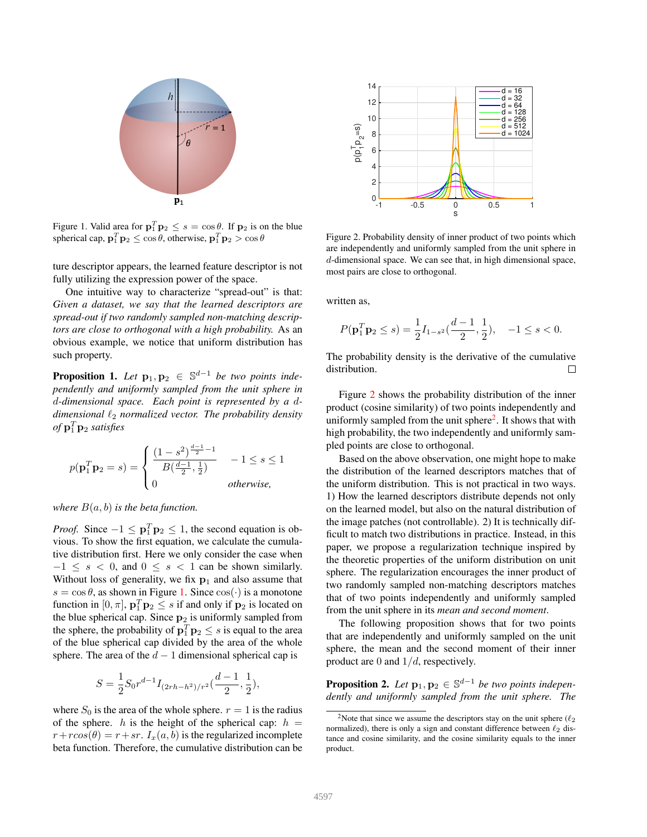

<span id="page-2-0"></span>Figure 1. Valid area for  $\mathbf{p}_1^T \mathbf{p}_2 \leq s = \cos \theta$ . If  $\mathbf{p}_2$  is on the blue spherical cap,  $\mathbf{p}_1^T \mathbf{p}_2 \le \cos \theta$ , otherwise,  $\mathbf{p}_1^T \mathbf{p}_2 > \cos \theta$ 

ture descriptor appears, the learned feature descriptor is not fully utilizing the expression power of the space.

One intuitive way to characterize "spread-out" is that: *Given a dataset, we say that the learned descriptors are spread-out if two randomly sampled non-matching descriptors are close to orthogonal with a high probability.* As an obvious example, we notice that uniform distribution has such property.

**Proposition 1.** Let  $\mathbf{p}_1, \mathbf{p}_2 \in \mathbb{S}^{d-1}$  be two points inde*pendently and uniformly sampled from the unit sphere in* d*-dimensional space. Each point is represented by a* d*dimensional*  $\ell_2$  *normalized vector. The probability density* of  $p_1^T p_2$  *satisfies* 

$$
p(\mathbf{p}_1^T \mathbf{p}_2 = s) = \begin{cases} \frac{(1 - s^2)^{\frac{d-1}{2} - 1}}{B(\frac{d-1}{2}, \frac{1}{2})} & -1 \le s \le 1\\ 0 & \text{otherwise,} \end{cases}
$$

*where*  $B(a, b)$  *is the beta function.* 

*Proof.* Since  $-1 \leq p_1^T p_2 \leq 1$ , the second equation is obvious. To show the first equation, we calculate the cumulative distribution first. Here we only consider the case when  $-1 \leq s < 0$ , and  $0 \leq s < 1$  can be shown similarly. Without loss of generality, we fix  $p_1$  and also assume that  $s = \cos \theta$ , as shown in Figure [1.](#page-2-0) Since  $\cos(\cdot)$  is a monotone function in  $[0, \pi]$ ,  $\mathbf{p}_1^T \mathbf{p}_2 \leq s$  if and only if  $\mathbf{p}_2$  is located on the blue spherical cap. Since  $p_2$  is uniformly sampled from the sphere, the probability of  $\mathbf{p}_1^T \mathbf{p}_2 \leq s$  is equal to the area of the blue spherical cap divided by the area of the whole sphere. The area of the  $d-1$  dimensional spherical cap is

$$
S = \frac{1}{2} S_0 r^{d-1} I_{(2rh-h^2)/r^2}(\frac{d-1}{2},\frac{1}{2}),
$$

where  $S_0$  is the area of the whole sphere.  $r = 1$  is the radius of the sphere. h is the height of the spherical cap:  $h =$  $r+rcos(\theta) = r+sr$ .  $I_x(a, b)$  is the regularized incomplete beta function. Therefore, the cumulative distribution can be



<span id="page-2-1"></span>Figure 2. Probability density of inner product of two points which are independently and uniformly sampled from the unit sphere in d-dimensional space. We can see that, in high dimensional space, most pairs are close to orthogonal.

written as,

$$
P(\mathbf{p}_1^T \mathbf{p}_2 \le s) = \frac{1}{2} I_{1-s^2}(\frac{d-1}{2}, \frac{1}{2}), \quad -1 \le s < 0.
$$

The probability density is the derivative of the cumulative distribution. П

Figure [2](#page-2-1) shows the probability distribution of the inner product (cosine similarity) of two points independently and uniformly sampled from the unit sphere<sup>[2](#page-2-2)</sup>. It shows that with high probability, the two independently and uniformly sampled points are close to orthogonal.

Based on the above observation, one might hope to make the distribution of the learned descriptors matches that of the uniform distribution. This is not practical in two ways. 1) How the learned descriptors distribute depends not only on the learned model, but also on the natural distribution of the image patches (not controllable). 2) It is technically difficult to match two distributions in practice. Instead, in this paper, we propose a regularization technique inspired by the theoretic properties of the uniform distribution on unit sphere. The regularization encourages the inner product of two randomly sampled non-matching descriptors matches that of two points independently and uniformly sampled from the unit sphere in its *mean and second moment*.

The following proposition shows that for two points that are independently and uniformly sampled on the unit sphere, the mean and the second moment of their inner product are 0 and  $1/d$ , respectively.

<span id="page-2-3"></span>**Proposition 2.** Let  $\mathbf{p}_1, \mathbf{p}_2 \in \mathbb{S}^{d-1}$  be two points indepen*dently and uniformly sampled from the unit sphere. The*

<span id="page-2-2"></span><sup>&</sup>lt;sup>2</sup>Note that since we assume the descriptors stay on the unit sphere ( $\ell_2$ ) normalized), there is only a sign and constant difference between  $\ell_2$  distance and cosine similarity, and the cosine similarity equals to the inner product.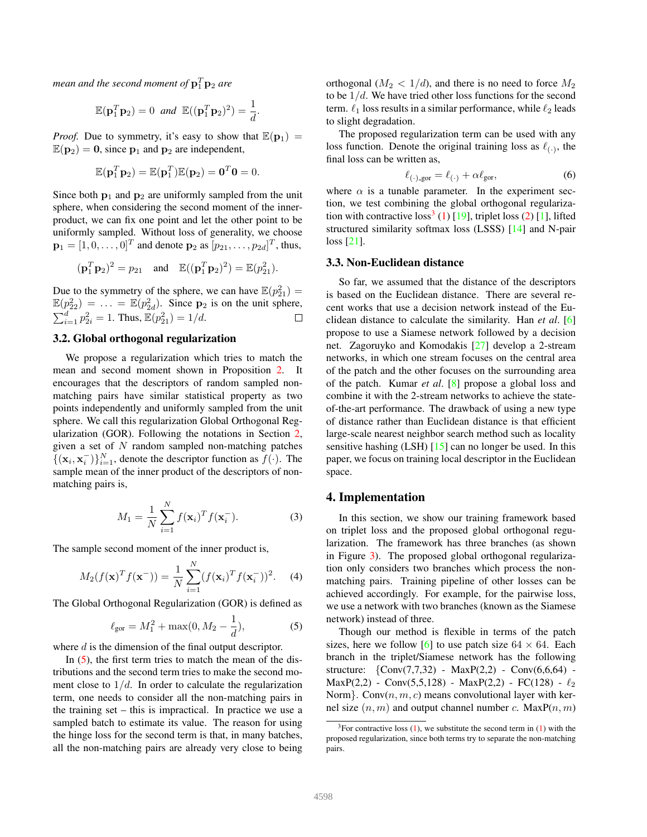mean and the second moment of  $\mathbf{p}_1^T \mathbf{p}_2$  are

$$
\mathbb{E}(\mathbf{p}_1^T \mathbf{p}_2) = 0 \quad \text{and} \quad \mathbb{E}((\mathbf{p}_1^T \mathbf{p}_2)^2) = \frac{1}{d}.
$$

*Proof.* Due to symmetry, it's easy to show that  $\mathbb{E}(\mathbf{p}_1)$  =  $\mathbb{E}(\mathbf{p}_2) = \mathbf{0}$ , since  $\mathbf{p}_1$  and  $\mathbf{p}_2$  are independent,

$$
\mathbb{E}(\mathbf{p}_1^T \mathbf{p}_2) = \mathbb{E}(\mathbf{p}_1^T) \mathbb{E}(\mathbf{p}_2) = \mathbf{0}^T \mathbf{0} = 0.
$$

Since both  $p_1$  and  $p_2$  are uniformly sampled from the unit sphere, when considering the second moment of the innerproduct, we can fix one point and let the other point to be uniformly sampled. Without loss of generality, we choose  $\mathbf{p}_1 = [1, 0, \dots, 0]^T$  and denote  $\mathbf{p}_2$  as  $[p_{21}, \dots, p_{2d}]^T$ , thus,

$$
(\mathbf{p}_1^T \mathbf{p}_2)^2 = p_{21}
$$
 and  $\mathbb{E}((\mathbf{p}_1^T \mathbf{p}_2)^2) = \mathbb{E}(p_{21}^2)$ .

Due to the symmetry of the sphere, we can have  $\mathbb{E}(p_{21}^2) =$  $\mathbb{E}(p_{22}^2) = \ldots = \mathbb{E}(p_{2d}^2)$ . Since  $p_2$  is on the unit sphere,  $\sum_{i=1}^{d} p_{2i}^2 = 1$ . Thus,  $\mathbb{E}(p_{21}^2) = 1/d$ .  $\Box$ 

#### 3.2. Global orthogonal regularization

We propose a regularization which tries to match the mean and second moment shown in Proposition [2.](#page-2-3) encourages that the descriptors of random sampled nonmatching pairs have similar statistical property as two points independently and uniformly sampled from the unit sphere. We call this regularization Global Orthogonal Regularization (GOR). Following the notations in Section [2,](#page-0-1) given a set of  $N$  random sampled non-matching patches  $\{(x_i, x_i^{-})$  $\binom{1}{i}$   $\binom{N}{i}$  denote the descriptor function as  $f(\cdot)$ . The sample mean of the inner product of the descriptors of nonmatching pairs is,

$$
M_1 = \frac{1}{N} \sum_{i=1}^{N} f(\mathbf{x}_i)^T f(\mathbf{x}_i^-). \tag{3}
$$

The sample second moment of the inner product is,

$$
M_2(f(\mathbf{x})^T f(\mathbf{x}^-)) = \frac{1}{N} \sum_{i=1}^N (f(\mathbf{x}_i)^T f(\mathbf{x}_i^-))^2.
$$
 (4)

The Global Orthogonal Regularization (GOR) is defined as

<span id="page-3-0"></span>
$$
\ell_{\text{gor}} = M_1^2 + \max(0, M_2 - \frac{1}{d}),\tag{5}
$$

where d is the dimension of the final output descriptor.

In  $(5)$  $(5)$ , the first term tries to match the mean of the distributions and the second term tries to make the second moment close to  $1/d$ . In order to calculate the regularization term, one needs to consider all the non-matching pairs in the training set – this is impractical. In practice we use a sampled batch to estimate its value. The reason for using the hinge loss for the second term is that, in many batches, all the non-matching pairs are already very close to being orthogonal  $(M_2 < 1/d)$ , and there is no need to force  $M_2$ to be  $1/d$ . We have tried other loss functions for the second term.  $\ell_1$  loss results in a similar performance, while  $\ell_2$  leads to slight degradation.

The proposed regularization term can be used with any loss function. Denote the original training loss as  $\ell_{(\cdot)}$ , the final loss can be written as,

<span id="page-3-2"></span>
$$
\ell_{(\cdot)\text{-gor}} = \ell_{(\cdot)} + \alpha \ell_{\text{gor}},\tag{6}
$$

where  $\alpha$  is a tunable parameter. In the experiment section, we test combining the global orthogonal regulariza-tion with contractive loss<sup>[3](#page-3-1)</sup> ([1\)](#page-1-1) [[19\]](#page-8-7), triplet loss [\(2](#page-1-2)) [[1\]](#page-8-5), lifted structured similarity softmax loss (LSSS) [[14](#page-8-17)] and N-pair loss [\[21](#page-8-18)].

### 3.3. Non-Euclidean distance

So far, we assumed that the distance of the descriptors is based on the Euclidean distance. There are several recent works that use a decision network instead of the Euclidean distance to calculate the similarity. Han *et al*. [[6\]](#page-8-19) propose to use a Siamese network followed by a decision net. Zagoruyko and Komodakis [[27\]](#page-8-20) develop a 2-stream networks, in which one stream focuses on the central area of the patch and the other focuses on the surrounding area of the patch. Kumar *et al*. [\[8](#page-8-6)] propose a global loss and combine it with the 2-stream networks to achieve the stateof-the-art performance. The drawback of using a new type of distance rather than Euclidean distance is that efficient large-scale nearest neighbor search method such as locality sensitive hashing (LSH) [[15\]](#page-8-21) can no longer be used. In this paper, we focus on training local descriptor in the Euclidean space.

# 4. Implementation

In this section, we show our training framework based on triplet loss and the proposed global orthogonal regularization. The framework has three branches (as shown in Figure [3\)](#page-4-1). The proposed global orthogonal regularization only considers two branches which process the nonmatching pairs. Training pipeline of other losses can be achieved accordingly. For example, for the pairwise loss, we use a network with two branches (known as the Siamese network) instead of three.

Though our method is flexible in terms of the patch sizes, here we follow [[6\]](#page-8-19) to use patch size  $64 \times 64$ . Each branch in the triplet/Siamese network has the following structure:  $\{Conv(7,7,32) - MaxP(2,2) - Conv(6,6,64) - \}$ MaxP(2,2) - Conv(5,5,128) - MaxP(2,2) - FC(128) -  $\ell_2$ Norm}. Conv $(n, m, c)$  means convolutional layer with kernel size  $(n, m)$  and output channel number c. MaxP $(n, m)$ 

<span id="page-3-1"></span> $3$ For contractive loss ([1\)](#page-1-1), we substitute the second term in [\(1](#page-1-1)) with the proposed regularization, since both terms try to separate the non-matching pairs.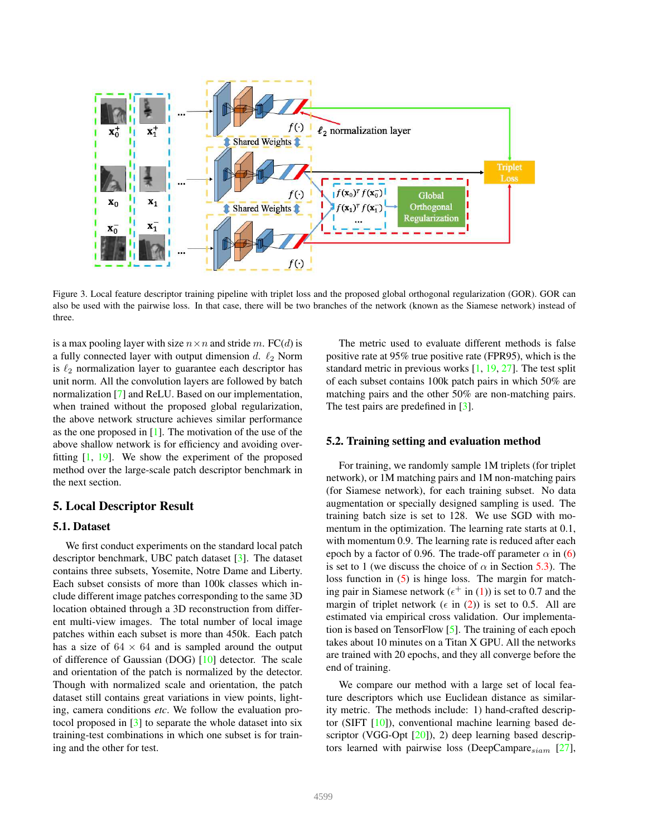

<span id="page-4-1"></span>Figure 3. Local feature descriptor training pipeline with triplet loss and the proposed global orthogonal regularization (GOR). GOR can also be used with the pairwise loss. In that case, there will be two branches of the network (known as the Siamese network) instead of three.

is a max pooling layer with size  $n \times n$  and stride m. FC(d) is a fully connected layer with output dimension d.  $\ell_2$  Norm is  $\ell_2$  normalization layer to guarantee each descriptor has unit norm. All the convolution layers are followed by batch normalization [[7\]](#page-8-22) and ReLU. Based on our implementation, when trained without the proposed global regularization, the above network structure achieves similar performance as the one proposed in [\[1](#page-8-5)]. The motivation of the use of the above shallow network is for efficiency and avoiding overfitting [\[1](#page-8-5), [19](#page-8-7)]. We show the experiment of the proposed method over the large-scale patch descriptor benchmark in the next section.

## <span id="page-4-0"></span>5. Local Descriptor Result

### 5.1. Dataset

We first conduct experiments on the standard local patch descriptor benchmark, UBC patch dataset [[3\]](#page-8-3). The dataset contains three subsets, Yosemite, Notre Dame and Liberty. Each subset consists of more than 100k classes which include different image patches corresponding to the same 3D location obtained through a 3D reconstruction from different multi-view images. The total number of local image patches within each subset is more than 450k. Each patch has a size of  $64 \times 64$  and is sampled around the output of difference of Gaussian (DOG) [\[10](#page-8-0)] detector. The scale and orientation of the patch is normalized by the detector. Though with normalized scale and orientation, the patch dataset still contains great variations in view points, lighting, camera conditions *etc*. We follow the evaluation protocol proposed in [\[3](#page-8-3)] to separate the whole dataset into six training-test combinations in which one subset is for training and the other for test.

The metric used to evaluate different methods is false positive rate at 95% true positive rate (FPR95), which is the standard metric in previous works [[1,](#page-8-5) [19,](#page-8-7) [27\]](#page-8-20). The test split of each subset contains 100k patch pairs in which 50% are matching pairs and the other 50% are non-matching pairs. The test pairs are predefined in [[3\]](#page-8-3).

### 5.2. Training setting and evaluation method

For training, we randomly sample 1M triplets (for triplet network), or 1M matching pairs and 1M non-matching pairs (for Siamese network), for each training subset. No data augmentation or specially designed sampling is used. The training batch size is set to 128. We use SGD with momentum in the optimization. The learning rate starts at 0.1, with momentum 0.9. The learning rate is reduced after each epoch by a factor of 0.96. The trade-off parameter  $\alpha$  in ([6\)](#page-3-2) is set to 1 (we discuss the choice of  $\alpha$  in Section [5.3\)](#page-5-0). The loss function in [\(5](#page-3-0)) is hinge loss. The margin for matching pair in Siamese network ( $\epsilon^+$  in ([1\)](#page-1-1)) is set to 0.7 and the margin of triplet network ( $\epsilon$  in ([2\)](#page-1-2)) is set to 0.5. All are estimated via empirical cross validation. Our implementation is based on TensorFlow [\[5](#page-8-23)]. The training of each epoch takes about 10 minutes on a Titan X GPU. All the networks are trained with 20 epochs, and they all converge before the end of training.

We compare our method with a large set of local feature descriptors which use Euclidean distance as similarity metric. The methods include: 1) hand-crafted descriptor (SIFT [\[10](#page-8-0)]), conventional machine learning based de-scriptor (VGG-Opt [[20\]](#page-8-4)), 2) deep learning based descriptors learned with pairwise loss (DeepCampare $_{siam}$  [\[27](#page-8-20)],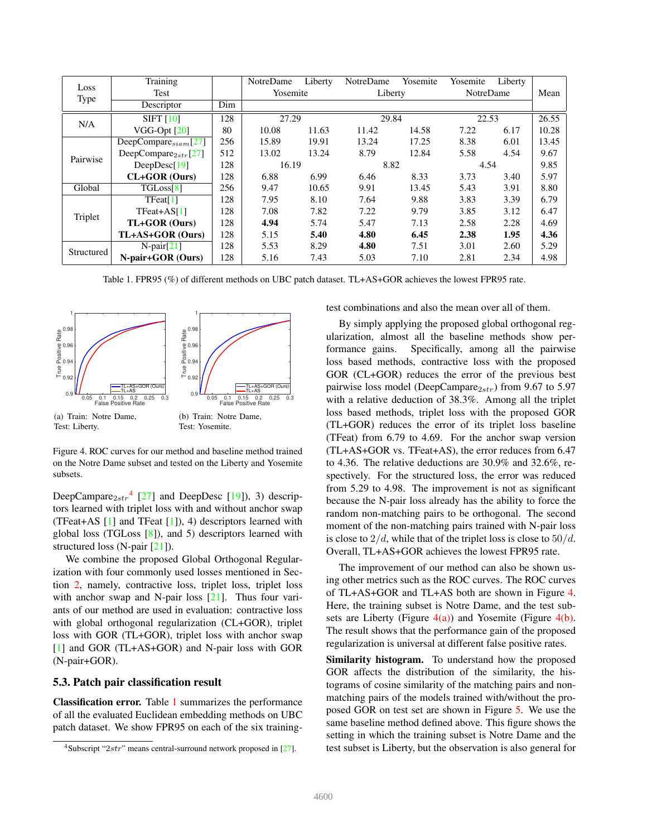| Loss       | Training                  |     | NotreDame | Liberty | NotreDame | Yosemite | Yosemite         | Liberty |       |
|------------|---------------------------|-----|-----------|---------|-----------|----------|------------------|---------|-------|
| Type       | Test                      |     | Yosemite  |         | Liberty   |          | <b>NotreDame</b> |         | Mean  |
|            | Descriptor                | Dim |           |         |           |          |                  |         |       |
| N/A        | $SIFT$ [10]               | 128 | 27.29     |         | 29.84     |          | 22.53            |         | 26.55 |
|            | $VGG-Opt$ $[20]$          | 80  | 10.08     | 11.63   | 11.42     | 14.58    | 7.22             | 6.17    | 10.28 |
| Pairwise   | DeepCompare $_{siam}[27]$ | 256 | 15.89     | 19.91   | 13.24     | 17.25    | 8.38             | 6.01    | 13.45 |
|            | DeepCompare $_{2str}[27]$ | 512 | 13.02     | 13.24   | 8.79      | 12.84    | 5.58             | 4.54    | 9.67  |
|            | DeepDesc[19]              | 128 | 16.19     |         | 8.82      |          | 4.54             |         | 9.85  |
|            | CL+GOR (Ours)             | 128 | 6.88      | 6.99    | 6.46      | 8.33     | 3.73             | 3.40    | 5.97  |
| Global     | TGLoss <sup>[8]</sup>     | 256 | 9.47      | 10.65   | 9.91      | 13.45    | 5.43             | 3.91    | 8.80  |
| Triplet    | $T$ Feat $[1]$            | 128 | 7.95      | 8.10    | 7.64      | 9.88     | 3.83             | 3.39    | 6.79  |
|            | $T$ Feat+AS $[1]$         | 128 | 7.08      | 7.82    | 7.22      | 9.79     | 3.85             | 3.12    | 6.47  |
|            | TL+GOR (Ours)             | 128 | 4.94      | 5.74    | 5.47      | 7.13     | 2.58             | 2.28    | 4.69  |
|            | TL+AS+GOR (Ours)          | 128 | 5.15      | 5.40    | 4.80      | 6.45     | 2.38             | 1.95    | 4.36  |
| Structured | $N$ -pair $[21]$          | 128 | 5.53      | 8.29    | 4.80      | 7.51     | 3.01             | 2.60    | 5.29  |
|            | N-pair+GOR (Ours)         | 128 | 5.16      | 7.43    | 5.03      | 7.10     | 2.81             | 2.34    | 4.98  |

<span id="page-5-2"></span>Table 1. FPR95 (%) of different methods on UBC patch dataset. TL+AS+GOR achieves the lowest FPR95 rate.

<span id="page-5-4"></span>

<span id="page-5-5"></span><span id="page-5-3"></span>Figure 4. ROC curves for our method and baseline method trained on the Notre Dame subset and tested on the Liberty and Yosemite subsets.

DeepCampare $_{2str}$ <sup>[4](#page-5-1)</sup> [[27\]](#page-8-20) and DeepDesc [\[19](#page-8-7)]), 3) descriptors learned with triplet loss with and without anchor swap (TFeat+AS [[1\]](#page-8-5) and TFeat [\[1](#page-8-5)]), 4) descriptors learned with global loss (TGLoss [\[8](#page-8-6)]), and 5) descriptors learned with structured loss (N-pair [[21\]](#page-8-18)).

We combine the proposed Global Orthogonal Regularization with four commonly used losses mentioned in Section [2](#page-0-1), namely, contractive loss, triplet loss, triplet loss with anchor swap and N-pair loss [\[21](#page-8-18)]. Thus four variants of our method are used in evaluation: contractive loss with global orthogonal regularization (CL+GOR), triplet loss with GOR (TL+GOR), triplet loss with anchor swap [\[1](#page-8-5)] and GOR (TL+AS+GOR) and N-pair loss with GOR (N-pair+GOR).

### <span id="page-5-0"></span>5.3. Patch pair classification result

Classification error. Table [1](#page-5-2) summarizes the performance of all the evaluated Euclidean embedding methods on UBC patch dataset. We show FPR95 on each of the six trainingtest combinations and also the mean over all of them.

By simply applying the proposed global orthogonal regularization, almost all the baseline methods show performance gains. Specifically, among all the pairwise loss based methods, contractive loss with the proposed GOR (CL+GOR) reduces the error of the previous best pairwise loss model (DeepCampare $_{2str}$ ) from 9.67 to 5.97 with a relative deduction of 38.3%. Among all the triplet loss based methods, triplet loss with the proposed GOR (TL+GOR) reduces the error of its triplet loss baseline (TFeat) from 6.79 to 4.69. For the anchor swap version (TL+AS+GOR vs. TFeat+AS), the error reduces from 6.47 to 4.36. The relative deductions are 30.9% and 32.6%, respectively. For the structured loss, the error was reduced from 5.29 to 4.98. The improvement is not as significant because the N-pair loss already has the ability to force the random non-matching pairs to be orthogonal. The second moment of the non-matching pairs trained with N-pair loss is close to  $2/d$ , while that of the triplet loss is close to  $50/d$ . Overall, TL+AS+GOR achieves the lowest FPR95 rate.

The improvement of our method can also be shown using other metrics such as the ROC curves. The ROC curves of TL+AS+GOR and TL+AS both are shown in Figure [4.](#page-5-3) Here, the training subset is Notre Dame, and the test subsets are Liberty (Figure  $4(a)$ ) and Yosemite (Figure  $4(b)$ . The result shows that the performance gain of the proposed regularization is universal at different false positive rates.

Similarity histogram. To understand how the proposed GOR affects the distribution of the similarity, the histograms of cosine similarity of the matching pairs and nonmatching pairs of the models trained with/without the proposed GOR on test set are shown in Figure [5.](#page-6-1) We use the same baseline method defined above. This figure shows the setting in which the training subset is Notre Dame and the test subset is Liberty, but the observation is also general for

<span id="page-5-1"></span><sup>&</sup>lt;sup>4</sup>Subscript " $2str$ " means central-surround network proposed in [\[27\]](#page-8-20).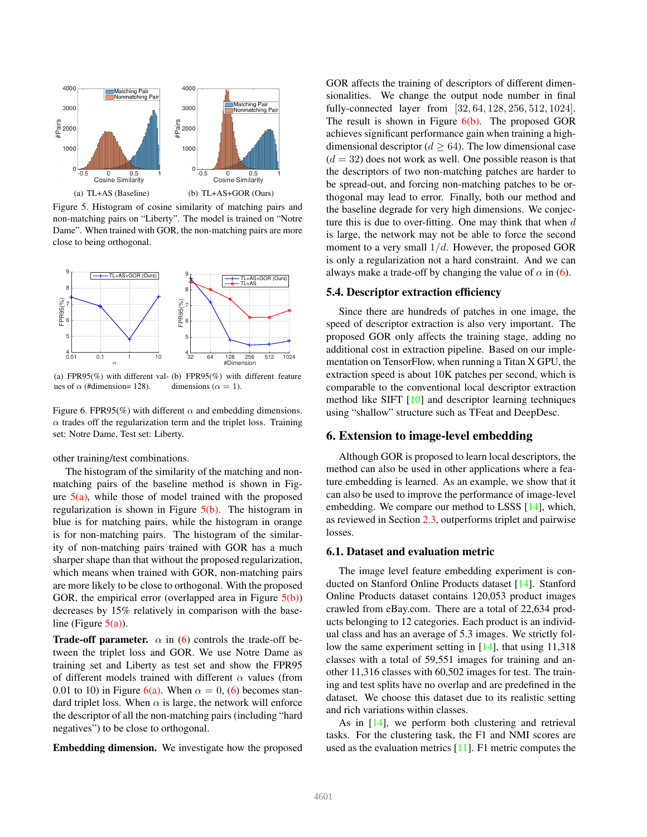<span id="page-6-2"></span>

<span id="page-6-3"></span><span id="page-6-1"></span>Figure 5. Histogram of cosine similarity of matching pairs and non-matching pairs on "Liberty". The model is trained on "Notre Dame". When trained with GOR, the non-matching pairs are more close to being orthogonal.

<span id="page-6-4"></span>

<span id="page-6-5"></span>(a) FPR95(%) with different val-(b) FPR95(%) with different feature ues of  $\alpha$  (#dimension= 128). dimensions ( $\alpha = 1$ ).

Figure 6. FPR95(%) with different  $\alpha$  and embedding dimensions.  $\alpha$  trades off the regularization term and the triplet loss. Training set: Notre Dame, Test set: Liberty.

#### other training/test combinations.

The histogram of the similarity of the matching and nonmatching pairs of the baseline method is shown in Figure  $5(a)$ , while those of model trained with the proposed regularization is shown in Figure  $5(b)$ . The histogram in blue is for matching pairs, while the histogram in orange is for non-matching pairs. The histogram of the similarity of non-matching pairs trained with GOR has a much sharper shape than that without the proposed regularization, which means when trained with GOR, non-matching pairs are more likely to be close to orthogonal. With the proposed GOR, the empirical error (overlapped area in Figure  $5(b)$ ) decreases by 15% relatively in comparison with the baseline (Figure  $5(a)$ ).

**Trade-off parameter.**  $\alpha$  in ([6\)](#page-3-2) controls the trade-off between the triplet loss and GOR. We use Notre Dame as training set and Liberty as test set and show the FPR95 of different models trained with different  $\alpha$  values (from 0.01 to 10) in Figure [6\(a\).](#page-6-4) When  $\alpha = 0$ , [\(6](#page-3-2)) becomes standard triplet loss. When  $\alpha$  is large, the network will enforce the descriptor of all the non-matching pairs (including "hard negatives") to be close to orthogonal.

Embedding dimension. We investigate how the proposed

GOR affects the training of descriptors of different dimensionalities. We change the output node number in final fully-connected layer from [32, 64, 128, 256, 512, 1024]. The result is shown in Figure  $6(b)$ . The proposed GOR achieves significant performance gain when training a highdimensional descriptor  $(d > 64)$ . The low dimensional case  $(d = 32)$  does not work as well. One possible reason is that the descriptors of two non-matching patches are harder to be spread-out, and forcing non-matching patches to be orthogonal may lead to error. Finally, both our method and the baseline degrade for very high dimensions. We conjecture this is due to over-fitting. One may think that when  $d$ is large, the network may not be able to force the second moment to a very small  $1/d$ . However, the proposed GOR is only a regularization not a hard constraint. And we can always make a trade-off by changing the value of  $\alpha$  in ([6\)](#page-3-2).

### 5.4. Descriptor extraction efficiency

Since there are hundreds of patches in one image, the speed of descriptor extraction is also very important. The proposed GOR only affects the training stage, adding no additional cost in extraction pipeline. Based on our implementation on TensorFlow, when running a Titan X GPU, the extraction speed is about 10K patches per second, which is comparable to the conventional local descriptor extraction method like SIFT [\[10](#page-8-0)] and descriptor learning techniques using "shallow" structure such as TFeat and DeepDesc.

# <span id="page-6-0"></span>6. Extension to image-level embedding

Although GOR is proposed to learn local descriptors, the method can also be used in other applications where a feature embedding is learned. As an example, we show that it can also be used to improve the performance of image-level embedding. We compare our method to LSSS [[14\]](#page-8-17), which, as reviewed in Section [2.3,](#page-1-3) outperforms triplet and pairwise losses.

### 6.1. Dataset and evaluation metric

The image level feature embedding experiment is conducted on Stanford Online Products dataset [\[14](#page-8-17)]. Stanford Online Products dataset contains 120,053 product images crawled from eBay.com. There are a total of 22,634 products belonging to 12 categories. Each product is an individual class and has an average of 5.3 images. We strictly follow the same experiment setting in [\[14](#page-8-17)], that using 11,318 classes with a total of 59,551 images for training and another 11,316 classes with 60,502 images for test. The training and test splits have no overlap and are predefined in the dataset. We choose this dataset due to its realistic setting and rich variations within classes.

As in [\[14](#page-8-17)], we perform both clustering and retrieval tasks. For the clustering task, the F1 and NMI scores are used as the evaluation metrics [[11\]](#page-8-24). F1 metric computes the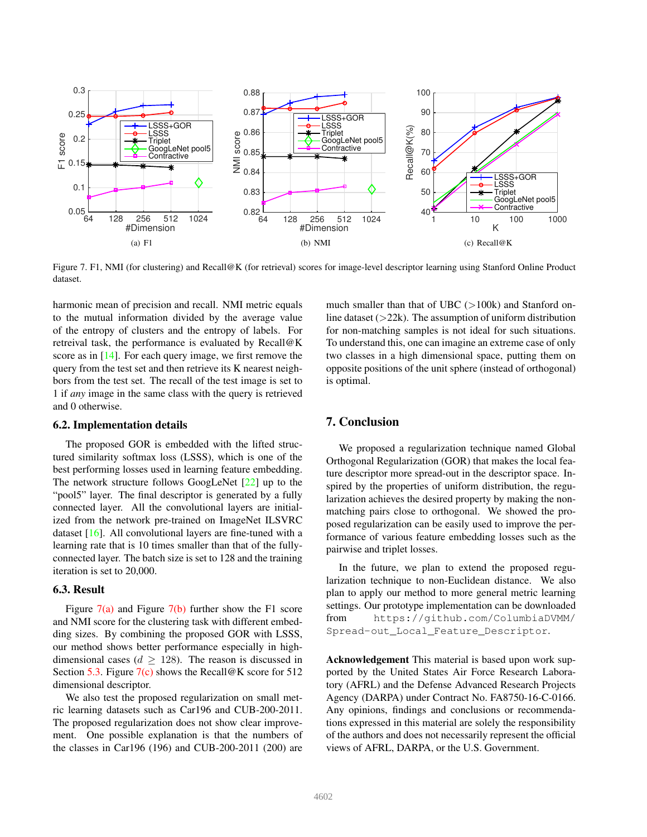<span id="page-7-0"></span>

Figure 7. F1, NMI (for clustering) and Recall@K (for retrieval) scores for image-level descriptor learning using Stanford Online Product dataset.

harmonic mean of precision and recall. NMI metric equals to the mutual information divided by the average value of the entropy of clusters and the entropy of labels. For retreival task, the performance is evaluated by Recall@K score as in [\[14](#page-8-17)]. For each query image, we first remove the query from the test set and then retrieve its K nearest neighbors from the test set. The recall of the test image is set to 1 if *any* image in the same class with the query is retrieved and 0 otherwise.

#### 6.2. Implementation details

The proposed GOR is embedded with the lifted structured similarity softmax loss (LSSS), which is one of the best performing losses used in learning feature embedding. The network structure follows GoogLeNet [[22\]](#page-8-25) up to the "pool5" layer. The final descriptor is generated by a fully connected layer. All the convolutional layers are initialized from the network pre-trained on ImageNet ILSVRC dataset [[16\]](#page-8-26). All convolutional layers are fine-tuned with a learning rate that is 10 times smaller than that of the fullyconnected layer. The batch size is set to 128 and the training iteration is set to 20,000.

### 6.3. Result

Figure  $7(a)$  and Figure  $7(b)$  further show the F1 score and NMI score for the clustering task with different embedding sizes. By combining the proposed GOR with LSSS, our method shows better performance especially in highdimensional cases ( $d \ge 128$ ). The reason is discussed in Section [5.3.](#page-5-0) Figure  $7(c)$  shows the Recall@K score for 512 dimensional descriptor.

We also test the proposed regularization on small metric learning datasets such as Car196 and CUB-200-2011. The proposed regularization does not show clear improvement. One possible explanation is that the numbers of the classes in Car196 (196) and CUB-200-2011 (200) are

<span id="page-7-2"></span><span id="page-7-1"></span>much smaller than that of UBC  $(>100k)$  and Stanford online dataset  $(>=22k)$ . The assumption of uniform distribution for non-matching samples is not ideal for such situations. To understand this, one can imagine an extreme case of only two classes in a high dimensional space, putting them on opposite positions of the unit sphere (instead of orthogonal) is optimal.

# 7. Conclusion

We proposed a regularization technique named Global Orthogonal Regularization (GOR) that makes the local feature descriptor more spread-out in the descriptor space. Inspired by the properties of uniform distribution, the regularization achieves the desired property by making the nonmatching pairs close to orthogonal. We showed the proposed regularization can be easily used to improve the performance of various feature embedding losses such as the pairwise and triplet losses.

In the future, we plan to extend the proposed regularization technique to non-Euclidean distance. We also plan to apply our method to more general metric learning settings. Our prototype implementation can be downloaded from https://github.com/ColumbiaDVMM/ Spread-out\_Local\_Feature\_Descriptor.

Acknowledgement This material is based upon work supported by the United States Air Force Research Laboratory (AFRL) and the Defense Advanced Research Projects Agency (DARPA) under Contract No. FA8750-16-C-0166. Any opinions, findings and conclusions or recommendations expressed in this material are solely the responsibility of the authors and does not necessarily represent the official views of AFRL, DARPA, or the U.S. Government.